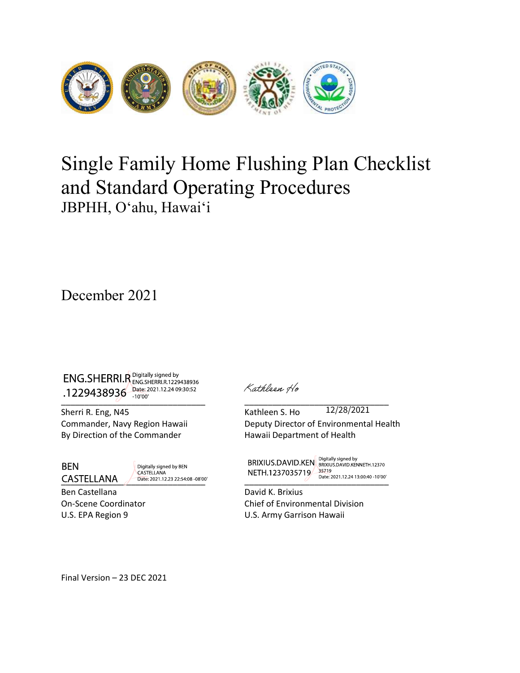

# Single Family Home Flushing Plan Checklist<br>and Standard Operating Procedures<br>JBPHH, O'ahu, Hawai'i and Standard Operating Procedures JBPHH, O'ahu, Hawai'i ENG.SHERRI.R Sanday signally signally<br>
JBPHH, O'ahu, Hawai'i<br>
December 2021<br>  $\frac{1}{229438936}$ <br>  $\frac{1}{28960}$ <br>  $\frac{1}{2960}$ <br>  $\frac{1}{29600}$ <br>  $\frac{1}{29600}$ <br>
Sherick R. Eng. N4<br>
Sherick R. Eng. N4<br>
Commander, Navy Region Haw **JBPHH, O'ahu, Hawai'i**<br> **December 2021**<br>
ENG.SHERRI.R. Societies a 1234048036<br>
1.222438936  $\frac{S_{3000}}{2000}$ <br>
Sherri R. Eng, N45 Kathleen S. Ho 12/28/2021<br>
Commander, Navy Region Hawaii<br>
Deputy Direction of the Commande

December 2021

**Commander 2021**<br>
ENG.SHERRI.R<sup>Sopitally squad by<br>
1.229438936  $\frac{S_{\text{RGS}}}{P_{\text{RGS}}}$ <br>
Sherri R. Eng. N45<br>
Sherri R. Eng. N45<br>
Commander, Navy Region Hawaii Deputy Director of Environmental Health<br>
By Direction of the Com</sup> **ENG.SHERRI.R** Bightly signal by<br> **ENG.SHERRI.R** Bightly signal by<br> **Addeer** of the Commander (1998)<br>
Sherri R. Eng, N45<br>
By Direction of the Commander Deputy Director of Environmental Health<br>
By Direction of the Commander COCEMBRIA COLORED AND SURVEY COLORED AND SURVEY CONTRIBUTED AND SURVEY CONTRIBUTED AND CONTRIBUTED SHOW THAT IS NOT USE OF THE R. FIG. NAS<br>
Short R. Eng, NAS<br>
Commander, Navy Region Hawaii Deputy Direction of the Commande **ENG.SHERRI.R**<br> **ENG.SHERRI.R**<br> **COORTIGE ONE ASSOCIATE INTEGRAL COORTIGE OF CONSUMING SERVICE OF ENVIRONMENTAL CONDUCT SHERRY R. Eng. NAS<br>
COMMANDED CONDUCT CONSUMING SERVICE OF CONDUCT CONDUCT CONDUCT CONDUCT BY DEVICAT ENG.SHERRI.F, Spirit-Harmy Schemation 19**<br>
1.1229438936  $\frac{1}{1000}$ <br>
Sherri R. Eng. N45<br>
Commander, Navy Region Hawaii<br>
By Direction of the Commander<br>
By Direction of the Commander<br>
BEN<br>
BEN<br>
BEN<br>
Direction 19<br>
Commande ENG.SHERRI,R <sup>Digitally signed by</sup><br>
1.229438936<sup>-</sup> Director 1.12240930532<br>
Sherri R. Eng, N45<br>
Sherri R. Eng, N45<br>
Extringent of Health<br>
By Direction of the Commander<br>
By Direction of the Commander<br>
By Direction of the Co 12/28/2021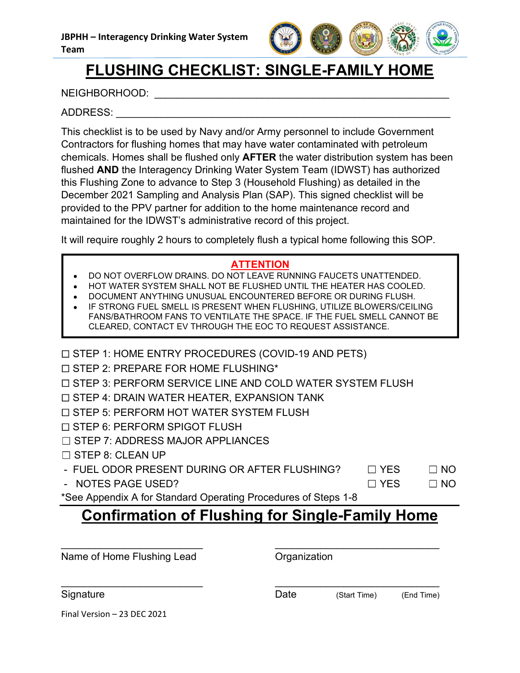

## FLUSHING CHECKLIST: SINGLE-FAMILY HOME

NEIGHBORHOOD:  $\blacksquare$ 

## ADDRESS: \_\_\_\_\_\_\_\_\_\_\_\_\_\_\_\_\_\_\_\_\_\_\_\_\_\_\_\_\_\_\_\_\_\_\_\_\_\_\_\_\_\_\_\_\_\_\_\_\_\_\_\_\_\_\_\_\_\_\_

This checklist is to be used by Navy and/or Army personnel to include Government Contractors for flushing homes that may have water contaminated with petroleum chemicals. Homes shall be flushed only AFTER the water distribution system has been flushed AND the Interagency Drinking Water System Team (IDWST) has authorized this Flushing Zone to advance to Step 3 (Household Flushing) as detailed in the December 2021 Sampling and Analysis Plan (SAP). This signed checklist will be **PRPHH - Interagency Drinking Water System**<br> **FELUSHING CHECKLIST: SINGLE-FAMILY HOME**<br>
NEIGHBORHOOD:<br>
ADDRESS:<br>
This checklist is to be used by Navy and/or Army personnel to include Government<br>
Contractors for flushing ho maintained for the IDWST's administrative record of this project. STEERING DE USEU DYNAPY and THIT HEAT CONDITION THIT CONDITIONS TO DESCRIPT 1: HOME ENTRY PROCEDURES (COVID-19 AND PETS)<br>STEP 1: HOME ENTRY PROCEDURES TO THE THIRD AND the interagency Drinking Water System Team (IDWST) has Sheld **AND** the Interagency Drinking Water System Team (IDWST) has authorized<br>
S FUshing Zone to advance to Step 3 (Household Flushing) as a detailed in the<br>
comber 2021 Sampling and Analysis Plan (SAP). This signed checkl S Flushing Zone to advance to Step 3 (Household Flushing) as detailed in the cerember 2021 Sampling and Analysis Plan (SAP). This signed checkilst will be ovided to the PPV partner for addition to the home maintenance reco comber 2021 Sampling and Analysis Plan (SAP). This signed checklist will be<br>vivided to the PPV partner for addition to the home maintenance record and<br>initialized for the IDWST's administrative record of this project.<br>Vill ESS:<br>
ESS:<br>
Recklist is to be used by Navy and/or Army personnel to include Government<br>
accels for flusting homes that may have water containinated with perfolement<br>
cals. Homes shall be flusted only **AFTER** the water dist

It will require roughly 2 hours to completely flush a typical home following this SOP.

## ATTENTION

- DO NOT OVERFLOW DRAINS. DO NOT LEAVE RUNNING FAUCETS UNATTENDED.
- HOT WATER SYSTEM SHALL NOT BE FLUSHED UNTIL THE HEATER HAS COOLED.
- DOCUMENT ANYTHING UNUSUAL ENCOUNTERED BEFORE OR DURING FLUSH.
- STEP 8: PERFORM SPIGOT FLUSHING\*<br>
STEP 6: PERFORM SPIGOT FURNISH STEP 6: CLEAN UP<br>
STEP 6: PERFORM SPIGOTION<br>
STEP 6: PERFORM SPIGNING FAUGES UNITED AND THE HEATER HAS COOLD.<br>
THE MITTENDED.<br>
 DO NOT OVERFLOW DRAINS. DO N Internet of the IDWS I's administrative record of this project.<br>
Will require roughly 2 hours to completely flush a typical home following this SOP.<br>
• DO NOT OVERFLOW DRAINS. DO NOT LEAVE RUNNING FAUCETS UNATTENDED.<br>
• HO VALUE TO NOTE THE SPACE UNEXANTION CONTROLL TO THE MANUSOR OF A STEP 8: CLEAN UP THAT STEP 8: CLEAN UP THAT STEP 8: CLEAN UP THAT STEP 8: CLEAN UP THAT STEP 8: CLEAN UP THAT STEP 8: CLEAN UP THAT STEP 4: DRAFING THAT ANY T - DO NOT OVERFLOW DRAINS. DO NOT LEAVE RUNNING FAUCETS UNATTENDED.<br>
- HOT WATER SYSTEM SHALL NOT BE FLUSHED UNTIL THE HEATER HAS COOLED.<br>
- DOCUMENT ANYTHING UNUSUAL ENCOUNTERED BEFORE OR DURING JULILE BLOWERS.CELILING<br>
F IF STRONG FUEL SMELL IS PRESENT WHEN FLUSHING, UTILIZE BLOWERS/CEILING FANS/BATHROOM FANS TO VENTILATE THE SPACE. IF THE FUEL SMELL CANNOT BE
- 
- $\square$  STEP 2: PREPARE FOR HOME FLUSHING\*
- 
- 
- 
- 
- 
- 
- 
- NOTES PAGE USED?  $\Box$  YES  $\Box$  NO
- \*See Appendix A for Standard Operating Procedures of Steps 1-8

| CLEARED, CONTACT EV THROUGH THE EOC TO REQUEST ASSISTANCE.      |            |
|-----------------------------------------------------------------|------------|
| $\Box$ STEP 1: HOME ENTRY PROCEDURES (COVID-19 AND PETS)        |            |
| $\Box$ STEP 2: PREPARE FOR HOME FLUSHING*                       |            |
| $\Box$ STEP 3: PERFORM SERVICE LINE AND COLD WATER SYSTEM FLUSH |            |
| $\Box$ STEP 4: DRAIN WATER HEATER, EXPANSION TANK               |            |
| □ STEP 5: PERFORM HOT WATER SYSTEM FLUSH                        |            |
| $\Box$ STEP 6: PERFORM SPIGOT FLUSH                             |            |
| $\Box$ STEP 7: ADDRESS MAJOR APPLIANCES                         |            |
| $\Box$ STEP 8: CLEAN UP                                         |            |
| - FUEL ODOR PRESENT DURING OR AFTER FLUSHING?<br>$\Box$ YES     | $\Box$ NO  |
| - NOTES PAGE USED?<br>$\Box$ YES                                | $\Box$ NO  |
| *See Appendix A for Standard Operating Procedures of Steps 1-8  |            |
| <b>Confirmation of Flushing for Single-Family Home</b>          |            |
|                                                                 |            |
|                                                                 |            |
| Name of Home Flushing Lead<br>Organization                      |            |
|                                                                 |            |
| Signature<br>Date<br>(Start Time)                               | (End Time) |
| Final Version - 23 DEC 2021                                     |            |
|                                                                 |            |
|                                                                 |            |
|                                                                 |            |
|                                                                 |            |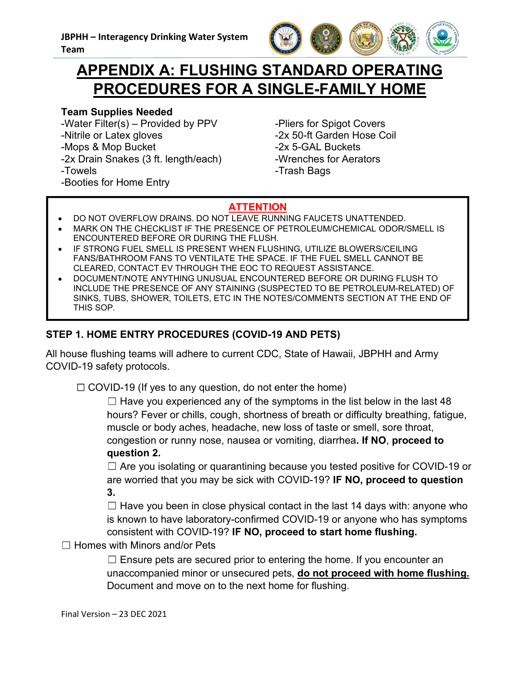

## Team<br>Team<br>**APPENDIX A: FLUSHING STANDARD OPERATING**<br>PROCEDURES FOR A SINGLE-FAMILY HOME HH – Interagency Drinking Water System<br> **APPENDIX A: FLUSHING STANDARD OPERATING<br>
PROCEDURES FOR A SINGLE-FAMILY HOME**<br>
In Supplies Needed<br>
Inter Filter(s) – Provided by PPV - Pliers for Spigot Covers PROCEDURES FOR A SINGLE-FAMILY HOME VERTRESS FOR A SINGLE-FAMILY HOMEN Team<br>
Team<br>
MAPPENDIX A: FLUSHING STANDARD OPERATI<br>
PROCEDURES FOR A SINGLE-FAMILY HOMEN<br>
Team Supplies Needed<br>
-Viater Filter(s) – Provided by PPV<br>
-Nitrile or Latex gloves<br>
-Nitrile or

## Team Supplies Needed

-Nitrile or Latex gloves -Mops & Mop Bucket -2x Drain Snakes (3 ft. length/each) -Towels

-Booties for Home Entry

-Pliers for Spigot Covers -2x 50-ft Garden Hose Coil -2x 5-GAL Buckets -Wrenches for Aerators -Trash Bags

## **ATTENTION**

- DO NOT OVERFLOW DRAINS. DO NOT LEAVE RUNNING FAUCETS UNATTENDED.
- MARK ON THE CHECKLIST IF THE PRESENCE OF PETROLEUM/CHEMICAL ODOR/SMELL IS ENCOUNTERED BEFORE OR DURING THE FLUSH.
- IF STRONG FUEL SMELL IS PRESENT WHEN FLUSHING, UTILIZE BLOWERS/CEILING FANS/BATHROOM FANS TO VENTILATE THE SPACE. IF THE FUEL SMELL CANNOT BE CLEARED, CONTACT EV THROUGH THE EOC TO REQUEST ASSISTANCE.
- France The Exercise Control of ANY BRISING COVID-19 AND PETS)<br>
STEP 1. HOME ENTRY PROCEDURES (COVID-19 AND PETS)<br>
STEP 1. HOME ENTRY PROCEDURES (COVID-19 AND PETS)<br>
STEP 1. HOME ENTRY PROCEDURES (COVID-19 AND PETS)<br>
STEP 1 **APPENDIX A: FLUSHING STANDARD OPERATING**<br> **PROCEDURES FOR A SINGLE-FAMILY HOME**<br>
am Supplies Needed<br>
tater Filter(s) – Provided by PPV - Pilers for Spigot Covers<br>
trile or Latex gloves<br>
2x 50-ft Garden Hose Coil<br>
DO NOT O INCLUDE THE PRESENCE OF ANY STAINING (SUSPECTED TO BE PETROLEUM-RELATED) OF SINKS, TUBS, SHOWER, TOILETS, ETC IN THE NOTES/COMMENTS SECTION AT THE END OF **PROCEDURES FOR A SINGLE-FAMILY**<br>
am Supplies Needed<br>
Tater Filter(s) – Provided by PPV - Pliers for Spigot Cover<br>
trile or Latex gloves<br>
-2x 50-ft Garden Hose<br>
-2x 50-ft Garden Hose<br>
-2x 50-ft Garden Hose<br>
-2x 50-ft Garde

All house flushing teams will adhere to current CDC, State of Hawaii, JBPHH and Army COVID-19 safety protocols.

 $\Box$  Have you experienced any of the symptoms in the list below in<br>hours? Fever or chills, cough, shortness of breath or difficulty bre<br>muscle or body aches, headache, new loss of taste or smell, sor<br>congestion or runny n SET THE COVID-THE COVID-19 (IT yes to any question, do not enter the home)<br>CONVID-19 (INCOVID-19 (IT INCOVID-19 (IT INCORDING THE FUSH CONTERED BEFORE OR DURING THE FLUSH.<br>COUNTERED BEFORE OR DURING THE FLUSH.<br>IS USATHROO  $\Box$  Have you experienced any of the symptoms in the list below in the last 48 hours? Fever or chills, cough, shortness of breath or difficulty breathing, fatigue, muscle or body aches, headache, new loss of taste or smell, sore throat, congestion or runny nose, nausea or vomiting, diarrhea. If NO, proceed to question 2. hing teams will adhere to current CDC, State of Hawaii, JBPHH and Army<br>
fety protocols.<br>  $\Box$  16 (f yes to any question, do not enter the home)<br>  $\Box$  Have you experienced any of the symptoms in the list below in the last

 $\Box$  Are you isolating or quarantining because you tested positive for COVID-19 or are worried that you may be sick with COVID-19? IF NO, proceed to question 3.

 $\Box$  Have you been in close physical contact in the last 14 days with: anyone who is known to have laboratory-confirmed COVID-19 or anyone who has symptoms consistent with COVID-19? IF NO, proceed to start home flushing.

 $\Box$  Homes with Minors and/or Pets

 $\Box$  Ensure pets are secured prior to entering the home. If you encounter an Document and move on to the next home for flushing.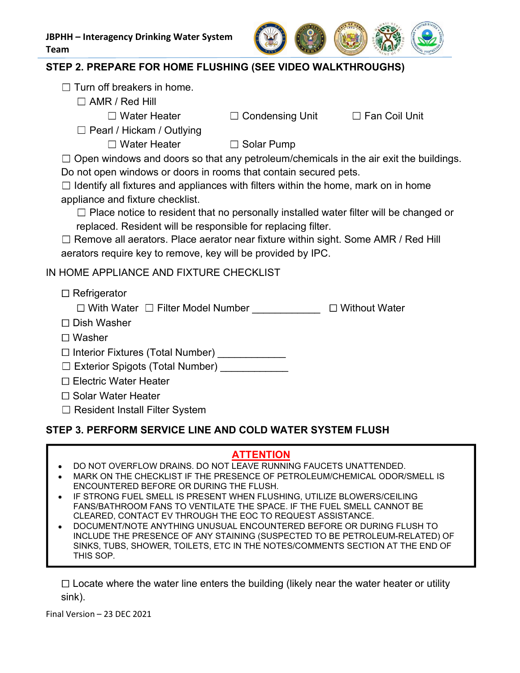

- $\Box$  Turn off breakers in home.
	- - - $\Box$  Water Heater  $\Box$  Condensing Unit  $\Box$  Fan Coil Unit

 $\Box$  Pearl / Hickam / Outlying

 $\Box$  Water Heater  $\Box$  Solar Pump

Open windows and doors so that any petroleum/chemicals in the air exit the buildings. **HH – Interagency Drinking Water System**<br> **EP 2. PREPARE FOR HOME FLUSHING (SEE VIDEO WALKTHROUGHS)**<br>
<br>
□ Turn off breakers in home.<br>
□ Mater Heater □ Solar Pump<br>
□ Water Heater □ Solar Pump<br>
□ Water Heater □ Solar Pump<br>

Applementation and fixture and fixture and fixture and fixture and fixed and fixed and fixed and fixed and fixed and finite and finite and fixture and fixture and fixture and fixture checklist.<br>  $\Box$  Place notice and fixt

- Interagency Drinking Water System<br>
2. PREPARE FOR HOME FLUSHING (SEE VIDEO WALKTHROUGHS)<br>
Tum off breakers in home.<br>  $□$  AMR / Red Hill<br>  $□$  Water Heater  $□$   $□$  Condensing Unit  $□$  Fan Coil Unit<br>  $□$  Pearl / Hickam /  $\Box$  Place notice to resident that no personally installed water filter will be changed or Furteragency Drinking Water System<br>
2. PREPARE FOR HOME FLUSHING (SEE VIDEO WALKTHROUGHS)<br>
EIVING MERICAL BERALD TO MAKE THROUGHS<br>
<br>
■
RAMR / Red Hill<br>
■
Water Heater ■ ■
Bolar Pump<br>
Open windows and doors so that any pet - Interagency Drinking Water System<br>
2. PREPARE FOR HOME FLUSHING (SEE VIDEO WALKTHROUGHS)<br>
Turn off breakers in home.<br>
□ AMR / Red Hill<br>
□ Water Heater<br>
□ Pearl / Hickem / Outlying<br>
□ Water Heater<br>
□ Romen windows and do

aerators require key to remove, key will be provided by IPC. □ Place notice to resident that no personally installed water filter will be changed or<br>
replaced. Resident will be responsible for replacing filter.<br>
I. Remove all aerators. Place aerator near fixture within sight. Som

IN HOME APPLIANCE AND FIXTURE CHECKLIST

 $\Box$  Refrigerator

 $\Box$  With Water  $\Box$  Filter Model Number  $\Box$  Without Water

- □ Dish Washer
- Washer

□ Interior Fixtures (Total Number) \_\_\_\_\_\_\_\_\_\_\_

 $\square$  Exterior Spigots (Total Number)

- □ Electric Water Heater
- □ Solar Water Heater
- $\Box$  Resident Install Filter System

### ATTENTION

- DO NOT OVERFLOW DRAINS. DO NOT LEAVE RUNNING FAUCETS UNATTENDED.
- MARK ON THE CHECKLIST IF THE PRESENCE OF PETROLEUM/CHEMICAL ODOR/SMELL IS ENCOUNTERED BEFORE OR DURING THE FLUSH.
- IF STRONG FUEL SMELL IS PRESENT WHEN FLUSHING, UTILIZE BLOWERS/CEILING FANS/BATHROOM FANS TO VENTILATE THE SPACE. IF THE FUEL SMELL CANNOT BE CLEARED, CONTACT EV THROUGH THE EOC TO REQUEST ASSISTANCE.
- Final Version 23 DEC 2021 Exterior Spigots (Total Number)<br>
Electric Water Heater<br>
Solar Water Heater<br>
Resident Install Filter System<br>
3. PERFORM SERVICE LINE AND COLD WATER SYSTEM FLUSH<br>
DO NOT OVERFLOW DRAINS. DO NOT LEAVE RUNNING FAUCETS UNATTEND DOCUMENT/NOTE ANYTHING UNUSUAL ENCOUNTERED BEFORE OR DURING FLUSH TO INCLUDE THE PRESENCE OF ANY STAINING (SUSPECTED TO BE PETROLEUM-RELATED) OF SINKS, TUBS, SHOWER, TOILETS, ETC IN THE NOTES/COMMENTS SECTION AT THE END OF THIS SOP.

sink).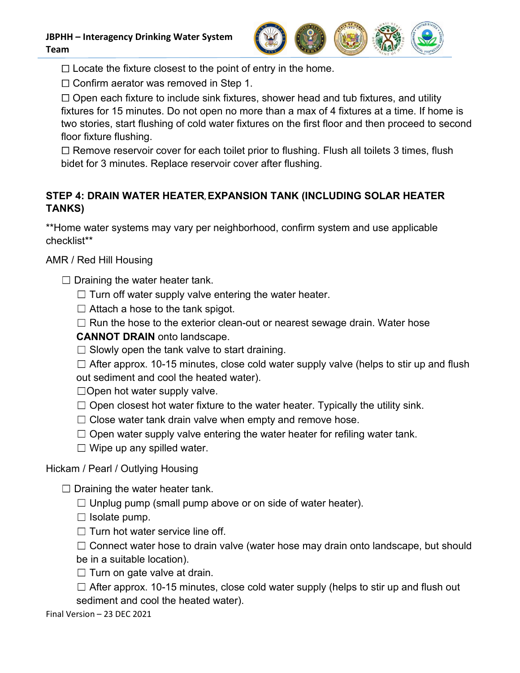

 $\Box$  Locate the fixture closest to the point of entry in the home.

 $\Box$  Confirm aerator was removed in Step 1.

 $\Box$  Open each fixture to include sink fixtures, shower head and tub fixtures, and utility fixtures for 15 minutes. Do not open no more than a max of 4 fixtures at a time. If home is two stories, start flushing of cold water fixtures on the first floor and then proceed to second floor fixture flushing. Tram<br>
Tram<br>  $\Box$  Locate the fixture closest to the point of entry in the home.<br>  $\Box$  Confirm aerator was removed in Step 1.<br>  $\Box$  Open each fixture to include sink fixtures, shower head and tub fixtures<br>
fixtures for 15 m It is for 15 minutes. Do not open no more than a max of 4 fixtures at a time. If home is<br>ories, start flushing of cold water fixtures on the first floor and then proceed to second<br>where flushing.<br>The fixture of exterior co

 $\Box$  Remove reservoir cover for each toilet prior to flushing. Flush all toilets 3 times, flush bidet for 3 minutes. Replace reservoir cover after flushing.

## STEP 4: DRAIN WATER HEATER, EXPANSION TANK (INCLUDING SOLAR HEATER TANKS) move reservoir cover for each toilet prior to flushing. Flush all toilets 3 times, flush<br>or 3 minutes. Replace reservoir cover after flushing.<br>DRAIN WATER HEATER, EXPANSION TANK (INCLUDING SOLAR HEATER<br>valer systems may va **DRAIN WATER HEATER EXPANSION TANK (INCLUDING SOLAR HEATER**<br>vater systems may vary per neighborhood, confirm system and use applicable<br>\*<br>d Hill Housing<br>ining the water heater tank.<br>Turn off water supply valve entering the

\*\*Home water systems may vary per neighborhood, confirm system and use applicable checklist\*\*

- $\Box$  Draining the water heater tank.
	- $\Box$  Turn off water supply valve entering the water heater.
	- $\Box$  Attach a hose to the tank spigot.
	-

CANNOT DRAIN onto landscape.

- $\square$  Slowly open the tank valve to start draining.
- out sediment and cool the heated water). Close water tank drain values was also confirm system and use applicable<br>
\*<br>
The different systems may vary per neighborhood, confirm system and use applicable<br>
\*<br>
Altach a hose to the tank spigot.<br>
Run off water supply va Draining the water heater tank.<br>  $\square$  Turn off water supply valve entering the water heater.<br>  $\square$  Attach a hose to the tank spigot.<br>  $\square$  Run the hose to the exterior clean-out or nearest sewage drain. Water hose **CANNOT**

 $\Box$  Open hot water supply valve.

- 
- 
- $\Box$  Open water supply valve entering the water heater for refiling water tank.
- $\Box$  Wipe up any spilled water.

## Hickam / Pearl / Outlying Housing

- $\Box$  Unplug pump (small pump above or on side of water heater).
- $\Box$  Isolate pump.
- $\Box$  Turn hot water service line off.
- $\Box$  Connect water hose to drain valve (water hose may drain onto landscape, but should
- be in a suitable location).
- $\Box$  Turn on gate valve at drain.

 $□$  Open closest hot water fixture to the water heater. Typically the u<br>  $□$  Close water tank drain valve when empty and remove hose.<br>  $□$  Open water supply valve entering the water heater for refiling wat<br>  $□$  Wipe up  $\Box$  After approx. 10-15 minutes, close cold water supply (helps to stir up and flush out sediment and cool the heated water).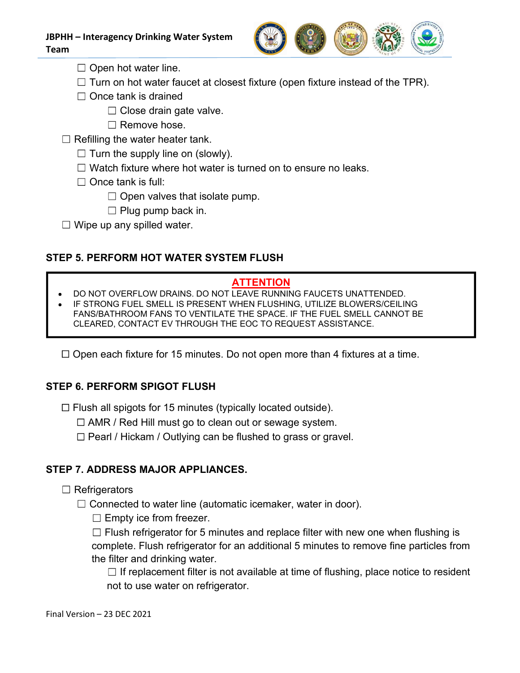

 $\Box$  Open hot water line.

Team

- $\Box$  Turn on hot water faucet at closest fixture (open fixture instead of the TPR).
- $\Box$  Once tank is drained
	- $\Box$  Close drain gate valve.
	- $\Box$  Remove hose.
- $\Box$  Refilling the water heater tank.
	- $\Box$  Turn the supply line on (slowly).
	-
	- $\Box$  Once tank is full:
		- $\Box$  Open valves that isolate pump.
		- $\Box$  Plug pump back in.
- $\Box$  Wipe up any spilled water.

## STEP 5. PERFORM HOT WATER SYSTEM FLUSH

## **ATTENTION**

- DO NOT OVERFLOW DRAINS. DO NOT LEAVE RUNNING FAUCETS UNATTENDED.
- Refilling the water heater tank.<br>  $\Box$  Tum the supply line on (slowly).<br>  $\Box$  Wateh fixture where hot water is turned on to ensure no leaks.<br>  $\Box$  Once tank is full:<br>  $\Box$  Open valves that isolate pump.<br>  $\Box$  Plug pump ba □ Plug pump back in.<br>
<br>
PERFORM HOT WATER SYSTEM FLUSH<br>
MOT OVERFLOW DRAINS. DO NOT CHENTION<br>
NOT OVERFLOW DRAINS. DO NOT LEAVE RUNNING FAUCETS UNATTENDED.<br>
TRONG FUEL SMELL IS PRESENT WHEN FLUSHING, UTILIZE BLOWERS/CEI STEP 5. PERFORM HOT WATER SYSTEM FLUSH<br>
• DO NOT OVERFLOW DRAINS. DO NOT LEAVE RUNNING FAUCETS UNA<br>
• IF STRONG FUEL SMELL IS PRESENT WHEN FLUSHING, UTILIZE BLOW<br>
FANS/BATHROOM FANS TO VENTILATE THE SPACE. IF THE FUEL SMEL IF STRONG FUEL SMELL IS PRESENT WHEN FLUSHING, UTILIZE BLOWERS/CEILING FANS/BATHROOM FANS TO VENTILATE THE SPACE. IF THE FUEL SMELL CANNOT BE CLEARED, CONTACT EV THROUGH THE EOC TO REQUEST ASSISTANCE.

## STEP 6. PERFORM SPIGOT FLUSH

 $\Box$  Flush all spigots for 15 minutes (typically located outside).

 $\Box$  Pearl / Hickam / Outlying can be flushed to grass or gravel.

- $\Box$  Refrigerators
	- $\Box$  Connected to water line (automatic icemaker, water in door).
		- $\square$  Empty ice from freezer.

 $□$  Fiush all spigots for 15 minutes (typically located outside).<br>  $□$  AMR / Red Hill must go to clean out or sewage system.<br>  $□$  Pearl / Hickam / Outlying can be flushed to grass or gravel.<br>
STEP 7. ADDRESS MAJOR APPLI ATHROOM FANS TO VENTILATE THE FACE. IF THE FUEL SMELL CANNOT BE<br>
ED, CONTACT EV THROUGH THE EOC TO REQUEST ASSISTANCE.<br>
And fixture for 15 minutes. Do not open more than 4 fixtures at a time.<br> **RFORM SPIGOT FLUSH**<br>
III spi complete. Flush refrigerator for an additional 5 minutes to remove fine particles from the filter and drinking water.

 $\Box$  If replacement filter is not available at time of flushing, place notice to resident not to use water on refrigerator.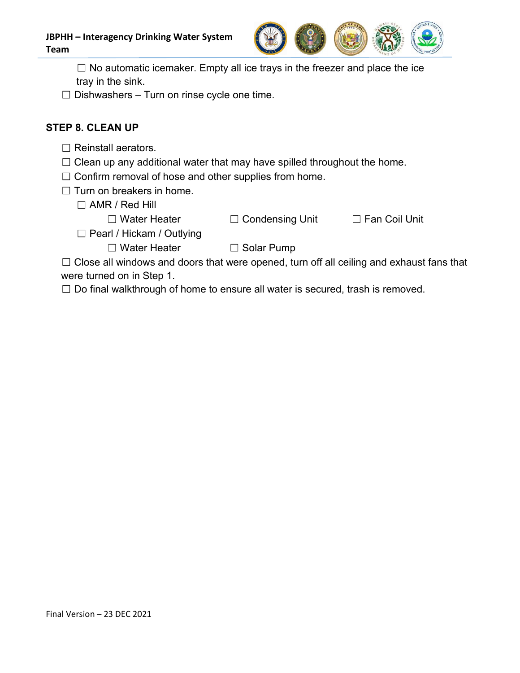

JBPHH – Interagency Drinking Water System<br>
Team<br>
□ No automatic icemaker. Empty all ice trays in the freezer and place the ice<br>
tray in the sink.<br>
□ Dishwashers – Turn on rinse cycle one time.  $\Box$  No automatic icemaker. Empty all ice trays in the freezer and place the ice tray in the sink. – Interagency Drinking Water System<br>
□ No automatic icemaker. Empty all ice trays in the freezer and place the ice<br>
tray in the sink.<br>
Dishwashers – Turn on rinse cycle one time.<br>
8. CLEAN UP<br>
Reinstall aerators. - Interagency Drinking Water System<br>
◯ No automatic icemaker. Empty all ice trays in the freezer and place the ice<br>
tray in the sink.<br>
Dishwashers - Turn on rinse cycle one time.<br>
8. CLEAN UP<br>
Reinstall aerators.<br>
Clean u Confirm removal of hose and other supplies from home. - Interagency Drinking Water System<br>  $\Box$  No automatic icemaker. Empty all ice trays in the freezer and place<br>
tray in the sink.<br>
Dishwashers - Turn on rinse cycle one time.<br>
8. CLEAN UP<br>
Reinstall aerators.<br>
Clean up any No automatic icemaker. Empty all ice trays in the freezer and place the sink.<br>
No automatic icemaker. Empty all ice trays in the freezer and place the<br>
hwashers – Turn on rinse cycle one time.<br>
CLEAN UP<br>
ISLEAN UP<br>
ISLEAN

## STEP 8. CLEAN UP

- $\Box$  Reinstall aerators.
- 
- 
- - - $\Box$  Water Heater  $\Box$  Condensing Unit  $\Box$  Fan Coil Unit

- $\Box$  Pearl / Hickam / Outlying
	- $\Box$  Water Heater  $\Box$  Solar Pump
		-

Close all windows and the transported that windows and place the internal place the internal of the sink.<br>
Dishwashers - Turn on rinse cycle one time.<br> **8. CLEAN UP**<br>
Reinstall aerators.<br>
Clean up any additional water tha  $\Box$  No automatic icemaker. Empty all ice trays in the freezer and place the<br>tray in the sink.<br>  $\Box$  Dishwashers – Turn on rinse cycle one time.<br>
EP 8. CLEAN UP<br>  $\Box$  Reinstall aerators.<br>  $\Box$  Clean up any additional wa

 $\Box$  Do final walkthrough of home to ensure all water is secured, trash is removed.